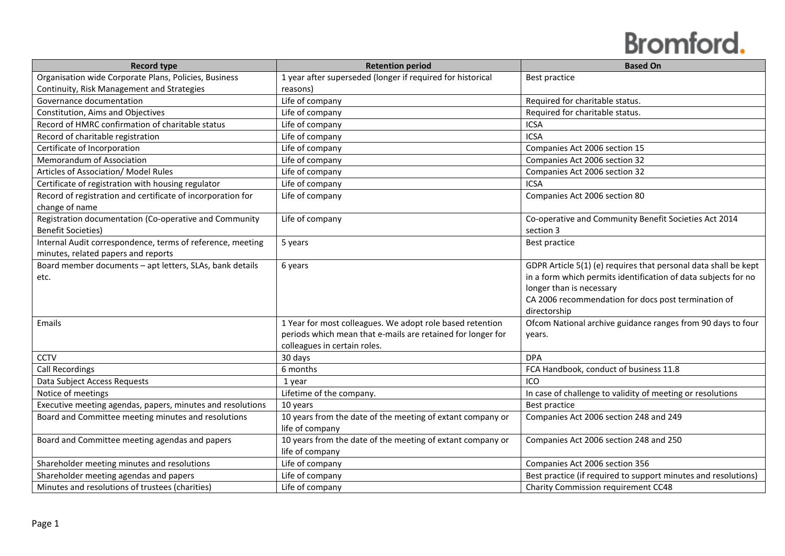| <b>Record type</b>                                                            | <b>Retention period</b>                                                       | <b>Based On</b>                                                 |
|-------------------------------------------------------------------------------|-------------------------------------------------------------------------------|-----------------------------------------------------------------|
| Organisation wide Corporate Plans, Policies, Business                         | 1 year after superseded (longer if required for historical                    | Best practice                                                   |
| Continuity, Risk Management and Strategies                                    | reasons)                                                                      |                                                                 |
| Governance documentation                                                      | Life of company                                                               | Required for charitable status.                                 |
| Constitution, Aims and Objectives                                             | Life of company                                                               | Required for charitable status.                                 |
| Record of HMRC confirmation of charitable status                              | Life of company                                                               | <b>ICSA</b>                                                     |
| Record of charitable registration                                             | Life of company                                                               | <b>ICSA</b>                                                     |
| Certificate of Incorporation                                                  | Life of company                                                               | Companies Act 2006 section 15                                   |
| Memorandum of Association                                                     | Life of company                                                               | Companies Act 2006 section 32                                   |
| Articles of Association/ Model Rules                                          | Life of company                                                               | Companies Act 2006 section 32                                   |
| Certificate of registration with housing regulator                            | Life of company                                                               | <b>ICSA</b>                                                     |
| Record of registration and certificate of incorporation for<br>change of name | Life of company                                                               | Companies Act 2006 section 80                                   |
| Registration documentation (Co-operative and Community                        | Life of company                                                               | Co-operative and Community Benefit Societies Act 2014           |
| <b>Benefit Societies)</b>                                                     |                                                                               | section 3                                                       |
| Internal Audit correspondence, terms of reference, meeting                    | 5 years                                                                       | Best practice                                                   |
| minutes, related papers and reports                                           |                                                                               |                                                                 |
| Board member documents - apt letters, SLAs, bank details                      | 6 years                                                                       | GDPR Article 5(1) (e) requires that personal data shall be kept |
| etc.                                                                          |                                                                               | in a form which permits identification of data subjects for no  |
|                                                                               |                                                                               | longer than is necessary                                        |
|                                                                               |                                                                               | CA 2006 recommendation for docs post termination of             |
|                                                                               |                                                                               | directorship                                                    |
| Emails                                                                        | 1 Year for most colleagues. We adopt role based retention                     | Ofcom National archive guidance ranges from 90 days to four     |
|                                                                               | periods which mean that e-mails are retained for longer for                   | vears.                                                          |
|                                                                               | colleagues in certain roles.                                                  |                                                                 |
| CCTV                                                                          | 30 days                                                                       | <b>DPA</b>                                                      |
| Call Recordings                                                               | 6 months                                                                      | FCA Handbook, conduct of business 11.8                          |
| Data Subject Access Requests                                                  | 1 year                                                                        | <b>ICO</b>                                                      |
| Notice of meetings                                                            | Lifetime of the company.                                                      | In case of challenge to validity of meeting or resolutions      |
| Executive meeting agendas, papers, minutes and resolutions                    | 10 years                                                                      | Best practice                                                   |
| Board and Committee meeting minutes and resolutions                           | 10 years from the date of the meeting of extant company or                    | Companies Act 2006 section 248 and 249                          |
|                                                                               | life of company                                                               |                                                                 |
| Board and Committee meeting agendas and papers                                | 10 years from the date of the meeting of extant company or<br>life of company | Companies Act 2006 section 248 and 250                          |
| Shareholder meeting minutes and resolutions                                   | Life of company                                                               | Companies Act 2006 section 356                                  |
| Shareholder meeting agendas and papers                                        | Life of company                                                               | Best practice (if required to support minutes and resolutions)  |
| Minutes and resolutions of trustees (charities)                               | Life of company                                                               | Charity Commission requirement CC48                             |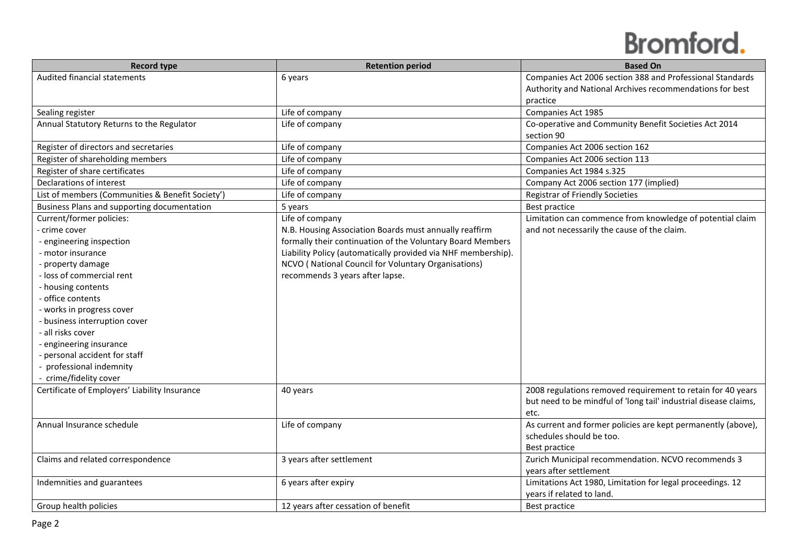| <b>Record type</b>                               | <b>Retention period</b>                                       | <b>Based On</b>                                                  |
|--------------------------------------------------|---------------------------------------------------------------|------------------------------------------------------------------|
| Audited financial statements                     | 6 years                                                       | Companies Act 2006 section 388 and Professional Standards        |
|                                                  |                                                               | Authority and National Archives recommendations for best         |
|                                                  |                                                               | practice                                                         |
| Sealing register                                 | Life of company                                               | Companies Act 1985                                               |
| Annual Statutory Returns to the Regulator        | Life of company                                               | Co-operative and Community Benefit Societies Act 2014            |
|                                                  |                                                               | section 90                                                       |
| Register of directors and secretaries            | Life of company                                               | Companies Act 2006 section 162                                   |
| Register of shareholding members                 | Life of company                                               | Companies Act 2006 section 113                                   |
| Register of share certificates                   | Life of company                                               | Companies Act 1984 s.325                                         |
| Declarations of interest                         | Life of company                                               | Company Act 2006 section 177 (implied)                           |
| List of members (Communities & Benefit Society') | Life of company                                               | <b>Registrar of Friendly Societies</b>                           |
| Business Plans and supporting documentation      | 5 years                                                       | Best practice                                                    |
| Current/former policies:                         | Life of company                                               | Limitation can commence from knowledge of potential claim        |
| - crime cover                                    | N.B. Housing Association Boards must annually reaffirm        | and not necessarily the cause of the claim.                      |
| - engineering inspection                         | formally their continuation of the Voluntary Board Members    |                                                                  |
| - motor insurance                                | Liability Policy (automatically provided via NHF membership). |                                                                  |
| - property damage                                | NCVO (National Council for Voluntary Organisations)           |                                                                  |
| - loss of commercial rent                        | recommends 3 years after lapse.                               |                                                                  |
| - housing contents                               |                                                               |                                                                  |
| - office contents                                |                                                               |                                                                  |
| - works in progress cover                        |                                                               |                                                                  |
| - business interruption cover                    |                                                               |                                                                  |
| - all risks cover                                |                                                               |                                                                  |
| - engineering insurance                          |                                                               |                                                                  |
| - personal accident for staff                    |                                                               |                                                                  |
| - professional indemnity                         |                                                               |                                                                  |
| - crime/fidelity cover                           |                                                               |                                                                  |
| Certificate of Employers' Liability Insurance    | 40 years                                                      | 2008 regulations removed requirement to retain for 40 years      |
|                                                  |                                                               | but need to be mindful of 'long tail' industrial disease claims, |
|                                                  |                                                               | etc.                                                             |
| Annual Insurance schedule                        | Life of company                                               | As current and former policies are kept permanently (above),     |
|                                                  |                                                               | schedules should be too.                                         |
|                                                  |                                                               | Best practice                                                    |
| Claims and related correspondence                | 3 years after settlement                                      | Zurich Municipal recommendation. NCVO recommends 3               |
|                                                  |                                                               | years after settlement                                           |
| Indemnities and guarantees                       | 6 years after expiry                                          | Limitations Act 1980, Limitation for legal proceedings. 12       |
|                                                  |                                                               | years if related to land.                                        |
| Group health policies                            | 12 years after cessation of benefit                           | Best practice                                                    |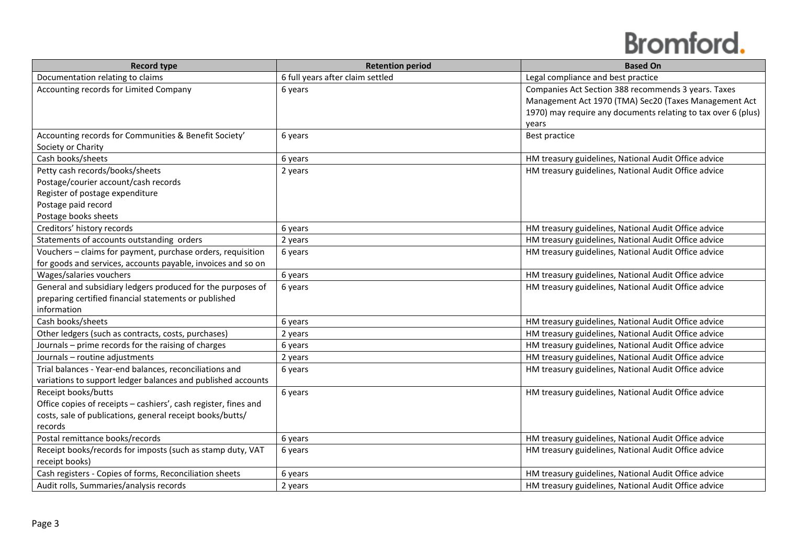| <b>Record type</b>                                              | <b>Retention period</b>          | <b>Based On</b>                                               |
|-----------------------------------------------------------------|----------------------------------|---------------------------------------------------------------|
| Documentation relating to claims                                | 6 full years after claim settled | Legal compliance and best practice                            |
| Accounting records for Limited Company                          | 6 years                          | Companies Act Section 388 recommends 3 years. Taxes           |
|                                                                 |                                  | Management Act 1970 (TMA) Sec20 (Taxes Management Act         |
|                                                                 |                                  | 1970) may require any documents relating to tax over 6 (plus) |
|                                                                 |                                  | vears                                                         |
| Accounting records for Communities & Benefit Society'           | 6 years                          | Best practice                                                 |
| Society or Charity                                              |                                  |                                                               |
| Cash books/sheets                                               | 6 years                          | HM treasury guidelines, National Audit Office advice          |
| Petty cash records/books/sheets                                 | 2 years                          | HM treasury guidelines, National Audit Office advice          |
| Postage/courier account/cash records                            |                                  |                                                               |
| Register of postage expenditure                                 |                                  |                                                               |
| Postage paid record                                             |                                  |                                                               |
| Postage books sheets                                            |                                  |                                                               |
| Creditors' history records                                      | 6 years                          | HM treasury guidelines, National Audit Office advice          |
| Statements of accounts outstanding orders                       | 2 years                          | HM treasury guidelines, National Audit Office advice          |
| Vouchers - claims for payment, purchase orders, requisition     | 6 years                          | HM treasury guidelines, National Audit Office advice          |
| for goods and services, accounts payable, invoices and so on    |                                  |                                                               |
| Wages/salaries vouchers                                         | 6 years                          | HM treasury guidelines, National Audit Office advice          |
| General and subsidiary ledgers produced for the purposes of     | 6 years                          | HM treasury guidelines, National Audit Office advice          |
| preparing certified financial statements or published           |                                  |                                                               |
| information                                                     |                                  |                                                               |
| Cash books/sheets                                               | 6 years                          | HM treasury guidelines, National Audit Office advice          |
| Other ledgers (such as contracts, costs, purchases)             | 2 years                          | HM treasury guidelines, National Audit Office advice          |
| Journals - prime records for the raising of charges             | 6 years                          | HM treasury guidelines, National Audit Office advice          |
| Journals - routine adjustments                                  | 2 years                          | HM treasury guidelines, National Audit Office advice          |
| Trial balances - Year-end balances, reconciliations and         | 6 years                          | HM treasury guidelines, National Audit Office advice          |
| variations to support ledger balances and published accounts    |                                  |                                                               |
| Receipt books/butts                                             | 6 years                          | HM treasury guidelines, National Audit Office advice          |
| Office copies of receipts - cashiers', cash register, fines and |                                  |                                                               |
| costs, sale of publications, general receipt books/butts/       |                                  |                                                               |
| records                                                         |                                  |                                                               |
| Postal remittance books/records                                 | 6 years                          | HM treasury guidelines, National Audit Office advice          |
| Receipt books/records for imposts (such as stamp duty, VAT      | 6 years                          | HM treasury guidelines, National Audit Office advice          |
| receipt books)                                                  |                                  |                                                               |
| Cash registers - Copies of forms, Reconciliation sheets         | 6 years                          | HM treasury guidelines, National Audit Office advice          |
| Audit rolls, Summaries/analysis records                         | 2 years                          | HM treasury guidelines, National Audit Office advice          |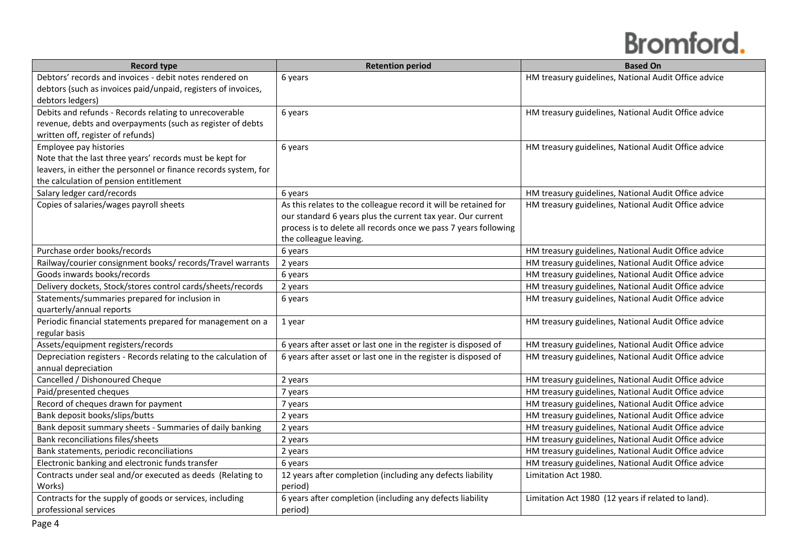| <b>Record type</b>                                              | <b>Retention period</b>                                         | <b>Based On</b>                                      |
|-----------------------------------------------------------------|-----------------------------------------------------------------|------------------------------------------------------|
| Debtors' records and invoices - debit notes rendered on         | 6 years                                                         | HM treasury guidelines, National Audit Office advice |
| debtors (such as invoices paid/unpaid, registers of invoices,   |                                                                 |                                                      |
| debtors ledgers)                                                |                                                                 |                                                      |
| Debits and refunds - Records relating to unrecoverable          | 6 years                                                         | HM treasury guidelines, National Audit Office advice |
| revenue, debts and overpayments (such as register of debts      |                                                                 |                                                      |
| written off, register of refunds)                               |                                                                 |                                                      |
| Employee pay histories                                          | 6 years                                                         | HM treasury guidelines, National Audit Office advice |
| Note that the last three years' records must be kept for        |                                                                 |                                                      |
| leavers, in either the personnel or finance records system, for |                                                                 |                                                      |
| the calculation of pension entitlement                          |                                                                 |                                                      |
| Salary ledger card/records                                      | 6 years                                                         | HM treasury guidelines, National Audit Office advice |
| Copies of salaries/wages payroll sheets                         | As this relates to the colleague record it will be retained for | HM treasury guidelines, National Audit Office advice |
|                                                                 | our standard 6 years plus the current tax year. Our current     |                                                      |
|                                                                 | process is to delete all records once we pass 7 years following |                                                      |
|                                                                 | the colleague leaving.                                          |                                                      |
| Purchase order books/records                                    | 6 years                                                         | HM treasury guidelines, National Audit Office advice |
| Railway/courier consignment books/ records/Travel warrants      | 2 years                                                         | HM treasury guidelines, National Audit Office advice |
| Goods inwards books/records                                     | 6 years                                                         | HM treasury guidelines, National Audit Office advice |
| Delivery dockets, Stock/stores control cards/sheets/records     | 2 years                                                         | HM treasury guidelines, National Audit Office advice |
| Statements/summaries prepared for inclusion in                  | 6 years                                                         | HM treasury guidelines, National Audit Office advice |
| quarterly/annual reports                                        |                                                                 |                                                      |
| Periodic financial statements prepared for management on a      | 1 year                                                          | HM treasury guidelines, National Audit Office advice |
| regular basis                                                   |                                                                 |                                                      |
| Assets/equipment registers/records                              | 6 years after asset or last one in the register is disposed of  | HM treasury guidelines, National Audit Office advice |
| Depreciation registers - Records relating to the calculation of | 6 years after asset or last one in the register is disposed of  | HM treasury guidelines, National Audit Office advice |
| annual depreciation                                             |                                                                 |                                                      |
| Cancelled / Dishonoured Cheque                                  | 2 years                                                         | HM treasury guidelines, National Audit Office advice |
| Paid/presented cheques                                          | 7 years                                                         | HM treasury guidelines, National Audit Office advice |
| Record of cheques drawn for payment                             | 7 years                                                         | HM treasury guidelines, National Audit Office advice |
| Bank deposit books/slips/butts                                  | 2 years                                                         | HM treasury guidelines, National Audit Office advice |
| Bank deposit summary sheets - Summaries of daily banking        | 2 years                                                         | HM treasury guidelines, National Audit Office advice |
| Bank reconciliations files/sheets                               | 2 years                                                         | HM treasury guidelines, National Audit Office advice |
| Bank statements, periodic reconciliations                       | 2 years                                                         | HM treasury guidelines, National Audit Office advice |
| Electronic banking and electronic funds transfer                | 6 years                                                         | HM treasury guidelines, National Audit Office advice |
| Contracts under seal and/or executed as deeds (Relating to      | 12 years after completion (including any defects liability      | Limitation Act 1980.                                 |
| Works)                                                          | period)                                                         |                                                      |
| Contracts for the supply of goods or services, including        | 6 years after completion (including any defects liability       | Limitation Act 1980 (12 years if related to land).   |
| professional services                                           | period)                                                         |                                                      |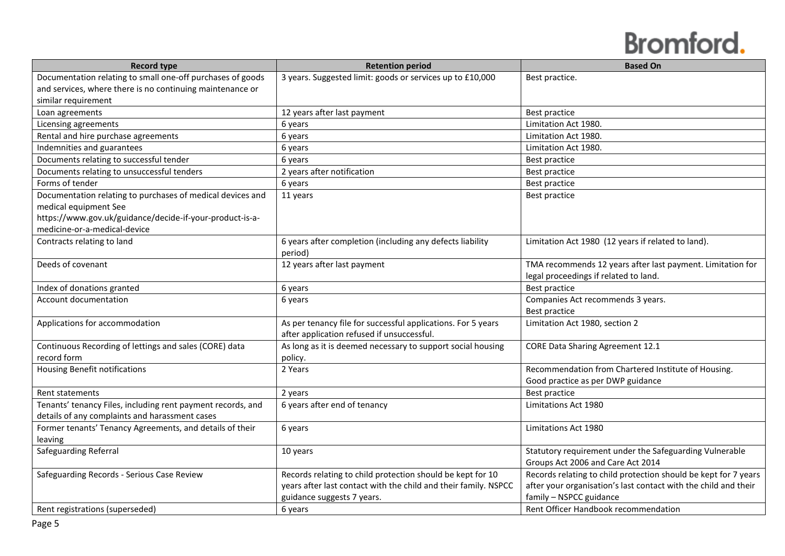| 3 years. Suggested limit: goods or services up to £10,000<br>Best practice.<br>12 years after last payment<br>Best practice<br>Limitation Act 1980.<br>6 years<br>6 years<br>Limitation Act 1980.<br>Limitation Act 1980.<br>6 years<br>6 years<br>Best practice<br>2 years after notification<br>Best practice<br>6 years<br>Best practice<br>11 years<br>Best practice<br>6 years after completion (including any defects liability<br>Limitation Act 1980 (12 years if related to land).<br>period)<br>12 years after last payment<br>TMA recommends 12 years after last payment. Limitation for<br>legal proceedings if related to land.<br>Best practice<br>6 years<br>Companies Act recommends 3 years.<br>6 years<br>Best practice<br>As per tenancy file for successful applications. For 5 years<br>Limitation Act 1980, section 2<br>after application refused if unsuccessful.<br><b>CORE Data Sharing Agreement 12.1</b><br>As long as it is deemed necessary to support social housing<br>policy.<br>Recommendation from Chartered Institute of Housing.<br>2 Years<br>Good practice as per DWP guidance<br>2 years<br>Best practice<br>6 years after end of tenancy<br>Limitations Act 1980<br>6 years<br>Limitations Act 1980<br>Statutory requirement under the Safeguarding Vulnerable<br>10 years | <b>Record type</b>                                          | <b>Retention period</b> | <b>Based On</b>                   |
|---------------------------------------------------------------------------------------------------------------------------------------------------------------------------------------------------------------------------------------------------------------------------------------------------------------------------------------------------------------------------------------------------------------------------------------------------------------------------------------------------------------------------------------------------------------------------------------------------------------------------------------------------------------------------------------------------------------------------------------------------------------------------------------------------------------------------------------------------------------------------------------------------------------------------------------------------------------------------------------------------------------------------------------------------------------------------------------------------------------------------------------------------------------------------------------------------------------------------------------------------------------------------------------------------------------------|-------------------------------------------------------------|-------------------------|-----------------------------------|
|                                                                                                                                                                                                                                                                                                                                                                                                                                                                                                                                                                                                                                                                                                                                                                                                                                                                                                                                                                                                                                                                                                                                                                                                                                                                                                                     | Documentation relating to small one-off purchases of goods  |                         |                                   |
|                                                                                                                                                                                                                                                                                                                                                                                                                                                                                                                                                                                                                                                                                                                                                                                                                                                                                                                                                                                                                                                                                                                                                                                                                                                                                                                     | and services, where there is no continuing maintenance or   |                         |                                   |
|                                                                                                                                                                                                                                                                                                                                                                                                                                                                                                                                                                                                                                                                                                                                                                                                                                                                                                                                                                                                                                                                                                                                                                                                                                                                                                                     | similar requirement                                         |                         |                                   |
|                                                                                                                                                                                                                                                                                                                                                                                                                                                                                                                                                                                                                                                                                                                                                                                                                                                                                                                                                                                                                                                                                                                                                                                                                                                                                                                     | Loan agreements                                             |                         |                                   |
|                                                                                                                                                                                                                                                                                                                                                                                                                                                                                                                                                                                                                                                                                                                                                                                                                                                                                                                                                                                                                                                                                                                                                                                                                                                                                                                     | Licensing agreements                                        |                         |                                   |
|                                                                                                                                                                                                                                                                                                                                                                                                                                                                                                                                                                                                                                                                                                                                                                                                                                                                                                                                                                                                                                                                                                                                                                                                                                                                                                                     | Rental and hire purchase agreements                         |                         |                                   |
|                                                                                                                                                                                                                                                                                                                                                                                                                                                                                                                                                                                                                                                                                                                                                                                                                                                                                                                                                                                                                                                                                                                                                                                                                                                                                                                     | Indemnities and guarantees                                  |                         |                                   |
|                                                                                                                                                                                                                                                                                                                                                                                                                                                                                                                                                                                                                                                                                                                                                                                                                                                                                                                                                                                                                                                                                                                                                                                                                                                                                                                     | Documents relating to successful tender                     |                         |                                   |
|                                                                                                                                                                                                                                                                                                                                                                                                                                                                                                                                                                                                                                                                                                                                                                                                                                                                                                                                                                                                                                                                                                                                                                                                                                                                                                                     | Documents relating to unsuccessful tenders                  |                         |                                   |
|                                                                                                                                                                                                                                                                                                                                                                                                                                                                                                                                                                                                                                                                                                                                                                                                                                                                                                                                                                                                                                                                                                                                                                                                                                                                                                                     | Forms of tender                                             |                         |                                   |
|                                                                                                                                                                                                                                                                                                                                                                                                                                                                                                                                                                                                                                                                                                                                                                                                                                                                                                                                                                                                                                                                                                                                                                                                                                                                                                                     | Documentation relating to purchases of medical devices and  |                         |                                   |
|                                                                                                                                                                                                                                                                                                                                                                                                                                                                                                                                                                                                                                                                                                                                                                                                                                                                                                                                                                                                                                                                                                                                                                                                                                                                                                                     | medical equipment See                                       |                         |                                   |
|                                                                                                                                                                                                                                                                                                                                                                                                                                                                                                                                                                                                                                                                                                                                                                                                                                                                                                                                                                                                                                                                                                                                                                                                                                                                                                                     | https://www.gov.uk/guidance/decide-if-your-product-is-a-    |                         |                                   |
|                                                                                                                                                                                                                                                                                                                                                                                                                                                                                                                                                                                                                                                                                                                                                                                                                                                                                                                                                                                                                                                                                                                                                                                                                                                                                                                     | medicine-or-a-medical-device                                |                         |                                   |
|                                                                                                                                                                                                                                                                                                                                                                                                                                                                                                                                                                                                                                                                                                                                                                                                                                                                                                                                                                                                                                                                                                                                                                                                                                                                                                                     | Contracts relating to land                                  |                         |                                   |
|                                                                                                                                                                                                                                                                                                                                                                                                                                                                                                                                                                                                                                                                                                                                                                                                                                                                                                                                                                                                                                                                                                                                                                                                                                                                                                                     |                                                             |                         |                                   |
|                                                                                                                                                                                                                                                                                                                                                                                                                                                                                                                                                                                                                                                                                                                                                                                                                                                                                                                                                                                                                                                                                                                                                                                                                                                                                                                     | Deeds of covenant                                           |                         |                                   |
|                                                                                                                                                                                                                                                                                                                                                                                                                                                                                                                                                                                                                                                                                                                                                                                                                                                                                                                                                                                                                                                                                                                                                                                                                                                                                                                     |                                                             |                         |                                   |
|                                                                                                                                                                                                                                                                                                                                                                                                                                                                                                                                                                                                                                                                                                                                                                                                                                                                                                                                                                                                                                                                                                                                                                                                                                                                                                                     | Index of donations granted                                  |                         |                                   |
|                                                                                                                                                                                                                                                                                                                                                                                                                                                                                                                                                                                                                                                                                                                                                                                                                                                                                                                                                                                                                                                                                                                                                                                                                                                                                                                     | Account documentation                                       |                         |                                   |
|                                                                                                                                                                                                                                                                                                                                                                                                                                                                                                                                                                                                                                                                                                                                                                                                                                                                                                                                                                                                                                                                                                                                                                                                                                                                                                                     |                                                             |                         |                                   |
|                                                                                                                                                                                                                                                                                                                                                                                                                                                                                                                                                                                                                                                                                                                                                                                                                                                                                                                                                                                                                                                                                                                                                                                                                                                                                                                     | Applications for accommodation                              |                         |                                   |
|                                                                                                                                                                                                                                                                                                                                                                                                                                                                                                                                                                                                                                                                                                                                                                                                                                                                                                                                                                                                                                                                                                                                                                                                                                                                                                                     |                                                             |                         |                                   |
|                                                                                                                                                                                                                                                                                                                                                                                                                                                                                                                                                                                                                                                                                                                                                                                                                                                                                                                                                                                                                                                                                                                                                                                                                                                                                                                     | Continuous Recording of lettings and sales (CORE) data      |                         |                                   |
|                                                                                                                                                                                                                                                                                                                                                                                                                                                                                                                                                                                                                                                                                                                                                                                                                                                                                                                                                                                                                                                                                                                                                                                                                                                                                                                     | record form                                                 |                         |                                   |
|                                                                                                                                                                                                                                                                                                                                                                                                                                                                                                                                                                                                                                                                                                                                                                                                                                                                                                                                                                                                                                                                                                                                                                                                                                                                                                                     | <b>Housing Benefit notifications</b>                        |                         |                                   |
|                                                                                                                                                                                                                                                                                                                                                                                                                                                                                                                                                                                                                                                                                                                                                                                                                                                                                                                                                                                                                                                                                                                                                                                                                                                                                                                     |                                                             |                         |                                   |
|                                                                                                                                                                                                                                                                                                                                                                                                                                                                                                                                                                                                                                                                                                                                                                                                                                                                                                                                                                                                                                                                                                                                                                                                                                                                                                                     | <b>Rent statements</b>                                      |                         |                                   |
|                                                                                                                                                                                                                                                                                                                                                                                                                                                                                                                                                                                                                                                                                                                                                                                                                                                                                                                                                                                                                                                                                                                                                                                                                                                                                                                     | Tenants' tenancy Files, including rent payment records, and |                         |                                   |
|                                                                                                                                                                                                                                                                                                                                                                                                                                                                                                                                                                                                                                                                                                                                                                                                                                                                                                                                                                                                                                                                                                                                                                                                                                                                                                                     | details of any complaints and harassment cases              |                         |                                   |
|                                                                                                                                                                                                                                                                                                                                                                                                                                                                                                                                                                                                                                                                                                                                                                                                                                                                                                                                                                                                                                                                                                                                                                                                                                                                                                                     | Former tenants' Tenancy Agreements, and details of their    |                         |                                   |
|                                                                                                                                                                                                                                                                                                                                                                                                                                                                                                                                                                                                                                                                                                                                                                                                                                                                                                                                                                                                                                                                                                                                                                                                                                                                                                                     | leaving                                                     |                         |                                   |
|                                                                                                                                                                                                                                                                                                                                                                                                                                                                                                                                                                                                                                                                                                                                                                                                                                                                                                                                                                                                                                                                                                                                                                                                                                                                                                                     | <b>Safeguarding Referral</b>                                |                         |                                   |
|                                                                                                                                                                                                                                                                                                                                                                                                                                                                                                                                                                                                                                                                                                                                                                                                                                                                                                                                                                                                                                                                                                                                                                                                                                                                                                                     |                                                             |                         | Groups Act 2006 and Care Act 2014 |
| Records relating to child protection should be kept for 10<br>Records relating to child protection should be kept for 7 years                                                                                                                                                                                                                                                                                                                                                                                                                                                                                                                                                                                                                                                                                                                                                                                                                                                                                                                                                                                                                                                                                                                                                                                       | Safeguarding Records - Serious Case Review                  |                         |                                   |
| after your organisation's last contact with the child and their<br>years after last contact with the child and their family. NSPCC                                                                                                                                                                                                                                                                                                                                                                                                                                                                                                                                                                                                                                                                                                                                                                                                                                                                                                                                                                                                                                                                                                                                                                                  |                                                             |                         |                                   |
| guidance suggests 7 years.<br>family - NSPCC guidance                                                                                                                                                                                                                                                                                                                                                                                                                                                                                                                                                                                                                                                                                                                                                                                                                                                                                                                                                                                                                                                                                                                                                                                                                                                               |                                                             |                         |                                   |
| Rent Officer Handbook recommendation<br>6 years                                                                                                                                                                                                                                                                                                                                                                                                                                                                                                                                                                                                                                                                                                                                                                                                                                                                                                                                                                                                                                                                                                                                                                                                                                                                     | Rent registrations (superseded)                             |                         |                                   |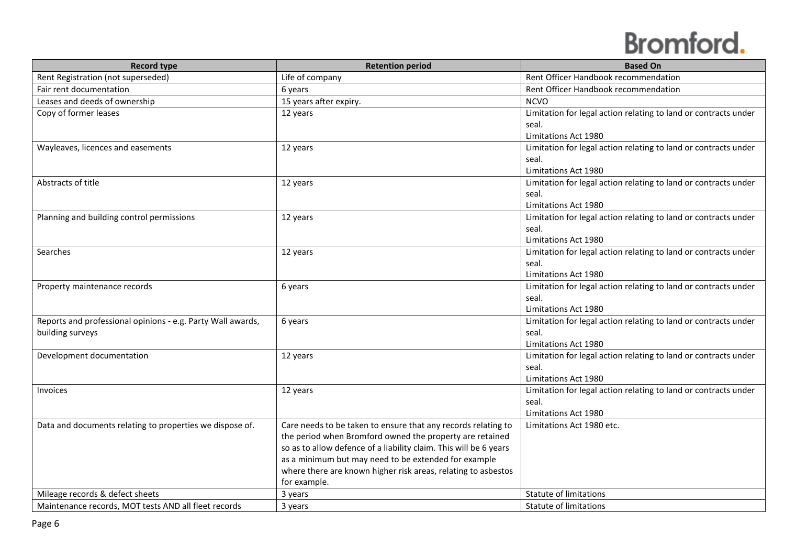| <b>Record type</b>                                          | <b>Retention period</b>                                           | <b>Based On</b>                                                 |
|-------------------------------------------------------------|-------------------------------------------------------------------|-----------------------------------------------------------------|
| Rent Registration (not superseded)                          | Life of company                                                   | Rent Officer Handbook recommendation                            |
| Fair rent documentation                                     | 6 years                                                           | Rent Officer Handbook recommendation                            |
| Leases and deeds of ownership                               | 15 years after expiry.                                            | <b>NCVO</b>                                                     |
| Copy of former leases                                       | 12 years                                                          | Limitation for legal action relating to land or contracts under |
|                                                             |                                                                   | seal.                                                           |
|                                                             |                                                                   | Limitations Act 1980                                            |
| Wayleaves, licences and easements                           | 12 years                                                          | Limitation for legal action relating to land or contracts under |
|                                                             |                                                                   | seal.                                                           |
|                                                             |                                                                   | Limitations Act 1980                                            |
| Abstracts of title                                          | 12 years                                                          | Limitation for legal action relating to land or contracts under |
|                                                             |                                                                   | seal.                                                           |
|                                                             |                                                                   | Limitations Act 1980                                            |
| Planning and building control permissions                   | 12 years                                                          | Limitation for legal action relating to land or contracts under |
|                                                             |                                                                   | seal.                                                           |
|                                                             |                                                                   | Limitations Act 1980                                            |
| Searches                                                    | 12 years                                                          | Limitation for legal action relating to land or contracts under |
|                                                             |                                                                   | seal.                                                           |
|                                                             |                                                                   | Limitations Act 1980                                            |
| Property maintenance records                                | 6 years                                                           | Limitation for legal action relating to land or contracts under |
|                                                             |                                                                   | seal.                                                           |
|                                                             |                                                                   | Limitations Act 1980                                            |
| Reports and professional opinions - e.g. Party Wall awards, | 6 years                                                           | Limitation for legal action relating to land or contracts under |
| building surveys                                            |                                                                   | seal.                                                           |
|                                                             |                                                                   | Limitations Act 1980                                            |
| Development documentation                                   | 12 years                                                          | Limitation for legal action relating to land or contracts under |
|                                                             |                                                                   | seal.                                                           |
|                                                             |                                                                   | Limitations Act 1980                                            |
| Invoices                                                    | 12 years                                                          | Limitation for legal action relating to land or contracts under |
|                                                             |                                                                   | seal.                                                           |
|                                                             |                                                                   | Limitations Act 1980                                            |
| Data and documents relating to properties we dispose of.    | Care needs to be taken to ensure that any records relating to     | Limitations Act 1980 etc.                                       |
|                                                             | the period when Bromford owned the property are retained          |                                                                 |
|                                                             | so as to allow defence of a liability claim. This will be 6 years |                                                                 |
|                                                             | as a minimum but may need to be extended for example              |                                                                 |
|                                                             | where there are known higher risk areas, relating to asbestos     |                                                                 |
|                                                             | for example.                                                      |                                                                 |
| Mileage records & defect sheets                             | 3 years                                                           | <b>Statute of limitations</b>                                   |
| Maintenance records, MOT tests AND all fleet records        | 3 years                                                           | Statute of limitations                                          |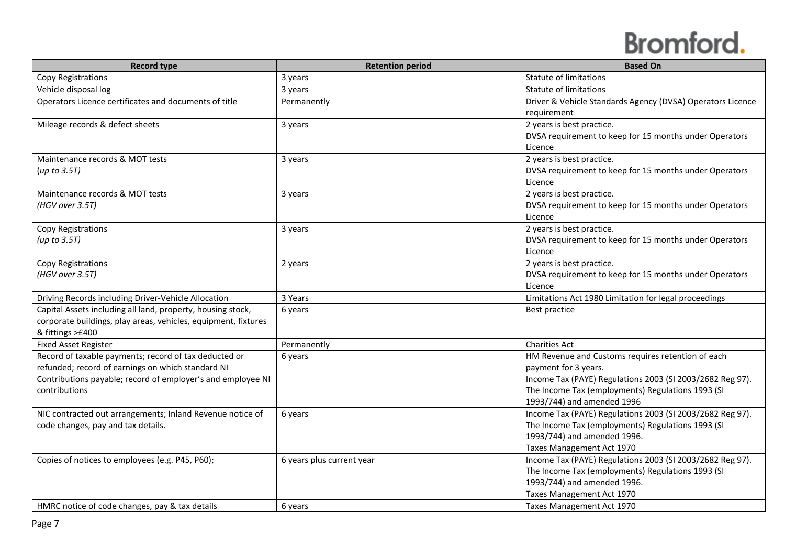| <b>Record type</b>                                             | <b>Retention period</b>   | <b>Based On</b>                                            |
|----------------------------------------------------------------|---------------------------|------------------------------------------------------------|
| Copy Registrations                                             | 3 years                   | <b>Statute of limitations</b>                              |
| Vehicle disposal log                                           | 3 years                   | <b>Statute of limitations</b>                              |
| Operators Licence certificates and documents of title          | Permanently               | Driver & Vehicle Standards Agency (DVSA) Operators Licence |
|                                                                |                           | requirement                                                |
| Mileage records & defect sheets                                | 3 years                   | 2 years is best practice.                                  |
|                                                                |                           | DVSA requirement to keep for 15 months under Operators     |
|                                                                |                           | Licence                                                    |
| Maintenance records & MOT tests                                | 3 years                   | 2 years is best practice.                                  |
| (up to 3.5T)                                                   |                           | DVSA requirement to keep for 15 months under Operators     |
|                                                                |                           | Licence                                                    |
| Maintenance records & MOT tests                                | 3 years                   | 2 years is best practice.                                  |
| (HGV over 3.5T)                                                |                           | DVSA requirement to keep for 15 months under Operators     |
|                                                                |                           | Licence                                                    |
| Copy Registrations                                             | 3 years                   | 2 years is best practice.                                  |
| (up to $3.5T$ )                                                |                           | DVSA requirement to keep for 15 months under Operators     |
|                                                                |                           | Licence                                                    |
| Copy Registrations                                             | 2 years                   | 2 years is best practice.                                  |
| (HGV over 3.5T)                                                |                           | DVSA requirement to keep for 15 months under Operators     |
|                                                                |                           | Licence                                                    |
| Driving Records including Driver-Vehicle Allocation            | 3 Years                   | Limitations Act 1980 Limitation for legal proceedings      |
| Capital Assets including all land, property, housing stock,    | 6 years                   | Best practice                                              |
| corporate buildings, play areas, vehicles, equipment, fixtures |                           |                                                            |
| & fittings >£400                                               |                           |                                                            |
| <b>Fixed Asset Register</b>                                    | Permanently               | <b>Charities Act</b>                                       |
| Record of taxable payments; record of tax deducted or          | 6 years                   | HM Revenue and Customs requires retention of each          |
| refunded; record of earnings on which standard NI              |                           | payment for 3 years.                                       |
| Contributions payable; record of employer's and employee NI    |                           | Income Tax (PAYE) Regulations 2003 (SI 2003/2682 Reg 97).  |
| contributions                                                  |                           | The Income Tax (employments) Regulations 1993 (SI          |
|                                                                |                           | 1993/744) and amended 1996                                 |
| NIC contracted out arrangements; Inland Revenue notice of      | 6 years                   | Income Tax (PAYE) Regulations 2003 (SI 2003/2682 Reg 97).  |
| code changes, pay and tax details.                             |                           | The Income Tax (employments) Regulations 1993 (SI          |
|                                                                |                           | 1993/744) and amended 1996.                                |
|                                                                |                           | Taxes Management Act 1970                                  |
| Copies of notices to employees (e.g. P45, P60);                | 6 years plus current year | Income Tax (PAYE) Regulations 2003 (SI 2003/2682 Reg 97).  |
|                                                                |                           | The Income Tax (employments) Regulations 1993 (SI          |
|                                                                |                           | 1993/744) and amended 1996.                                |
|                                                                |                           | Taxes Management Act 1970                                  |
| HMRC notice of code changes, pay & tax details                 | 6 years                   | Taxes Management Act 1970                                  |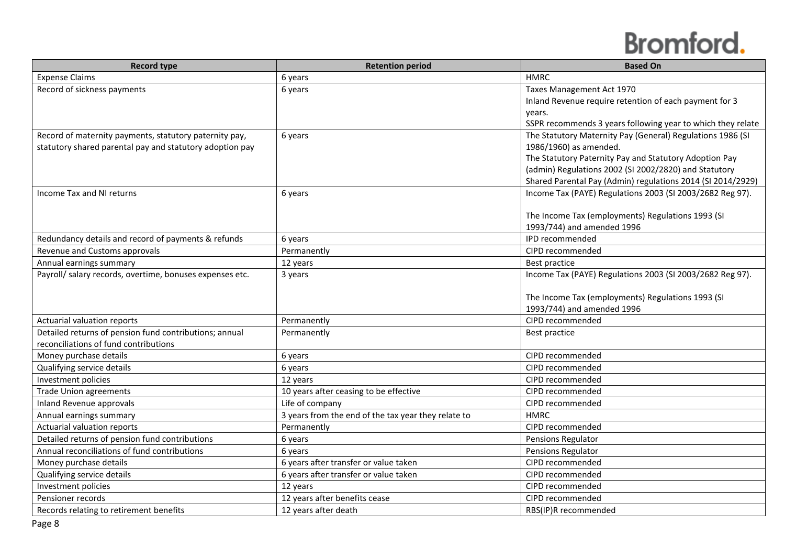| <b>Record type</b>                                       | <b>Retention period</b>                             | <b>Based On</b>                                             |
|----------------------------------------------------------|-----------------------------------------------------|-------------------------------------------------------------|
| <b>Expense Claims</b>                                    | 6 years                                             | <b>HMRC</b>                                                 |
| Record of sickness payments                              | 6 years                                             | Taxes Management Act 1970                                   |
|                                                          |                                                     | Inland Revenue require retention of each payment for 3      |
|                                                          |                                                     | years.                                                      |
|                                                          |                                                     | SSPR recommends 3 years following year to which they relate |
| Record of maternity payments, statutory paternity pay,   | 6 years                                             | The Statutory Maternity Pay (General) Regulations 1986 (SI  |
| statutory shared parental pay and statutory adoption pay |                                                     | 1986/1960) as amended.                                      |
|                                                          |                                                     | The Statutory Paternity Pay and Statutory Adoption Pay      |
|                                                          |                                                     | (admin) Regulations 2002 (SI 2002/2820) and Statutory       |
|                                                          |                                                     | Shared Parental Pay (Admin) regulations 2014 (SI 2014/2929) |
| Income Tax and NI returns                                | 6 years                                             | Income Tax (PAYE) Regulations 2003 (SI 2003/2682 Reg 97).   |
|                                                          |                                                     | The Income Tax (employments) Regulations 1993 (SI           |
|                                                          |                                                     | 1993/744) and amended 1996                                  |
| Redundancy details and record of payments & refunds      | 6 years                                             | IPD recommended                                             |
| Revenue and Customs approvals                            | Permanently                                         | CIPD recommended                                            |
| Annual earnings summary                                  | 12 years                                            | Best practice                                               |
| Payroll/ salary records, overtime, bonuses expenses etc. | 3 years                                             | Income Tax (PAYE) Regulations 2003 (SI 2003/2682 Reg 97).   |
|                                                          |                                                     |                                                             |
|                                                          |                                                     | The Income Tax (employments) Regulations 1993 (SI           |
|                                                          |                                                     | 1993/744) and amended 1996                                  |
| Actuarial valuation reports                              | Permanently                                         | CIPD recommended                                            |
| Detailed returns of pension fund contributions; annual   | Permanently                                         | Best practice                                               |
| reconciliations of fund contributions                    |                                                     |                                                             |
| Money purchase details                                   | 6 years                                             | CIPD recommended                                            |
| Qualifying service details                               | 6 years                                             | CIPD recommended                                            |
| Investment policies                                      | 12 years                                            | CIPD recommended                                            |
| <b>Trade Union agreements</b>                            | 10 years after ceasing to be effective              | CIPD recommended                                            |
| Inland Revenue approvals                                 | Life of company                                     | CIPD recommended                                            |
| Annual earnings summary                                  | 3 years from the end of the tax year they relate to | <b>HMRC</b>                                                 |
| Actuarial valuation reports                              | Permanently                                         | CIPD recommended                                            |
| Detailed returns of pension fund contributions           | 6 years                                             | Pensions Regulator                                          |
| Annual reconciliations of fund contributions             | 6 years                                             | Pensions Regulator                                          |
| Money purchase details                                   | 6 years after transfer or value taken               | CIPD recommended                                            |
| Qualifying service details                               | 6 years after transfer or value taken               | CIPD recommended                                            |
| Investment policies                                      | 12 years                                            | CIPD recommended                                            |
| Pensioner records                                        | 12 years after benefits cease                       | CIPD recommended                                            |
| Records relating to retirement benefits                  | 12 years after death                                | RBS(IP)R recommended                                        |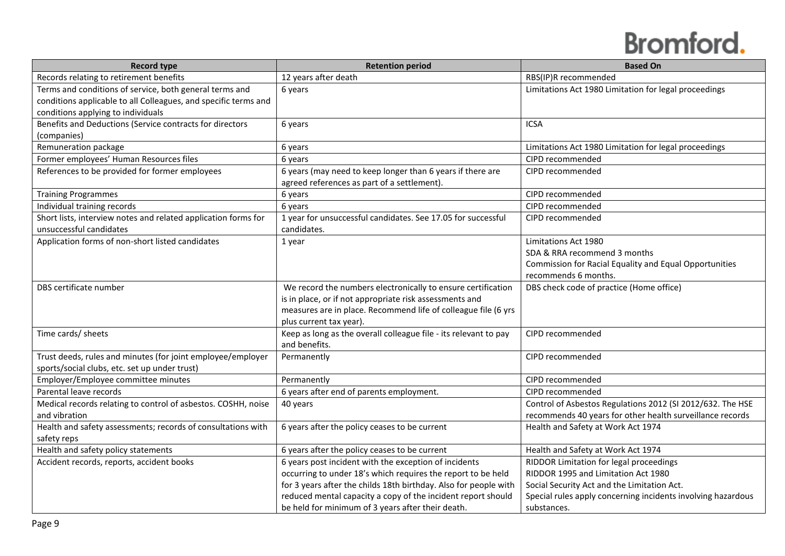| <b>Record type</b>                                              | <b>Retention period</b>                                          | <b>Based On</b>                                              |
|-----------------------------------------------------------------|------------------------------------------------------------------|--------------------------------------------------------------|
| Records relating to retirement benefits                         | 12 years after death                                             | RBS(IP)R recommended                                         |
| Terms and conditions of service, both general terms and         | 6 years                                                          | Limitations Act 1980 Limitation for legal proceedings        |
| conditions applicable to all Colleagues, and specific terms and |                                                                  |                                                              |
| conditions applying to individuals                              |                                                                  |                                                              |
| Benefits and Deductions (Service contracts for directors        | 6 years                                                          | <b>ICSA</b>                                                  |
| (companies)                                                     |                                                                  |                                                              |
| Remuneration package                                            | 6 years                                                          | Limitations Act 1980 Limitation for legal proceedings        |
| Former employees' Human Resources files                         | 6 years                                                          | CIPD recommended                                             |
| References to be provided for former employees                  | 6 years (may need to keep longer than 6 years if there are       | CIPD recommended                                             |
|                                                                 | agreed references as part of a settlement).                      |                                                              |
| <b>Training Programmes</b>                                      | 6 years                                                          | CIPD recommended                                             |
| Individual training records                                     | 6 years                                                          | CIPD recommended                                             |
| Short lists, interview notes and related application forms for  | 1 year for unsuccessful candidates. See 17.05 for successful     | CIPD recommended                                             |
| unsuccessful candidates                                         | candidates.                                                      |                                                              |
| Application forms of non-short listed candidates                | 1 year                                                           | Limitations Act 1980                                         |
|                                                                 |                                                                  | SDA & RRA recommend 3 months                                 |
|                                                                 |                                                                  | Commission for Racial Equality and Equal Opportunities       |
|                                                                 |                                                                  | recommends 6 months.                                         |
| DBS certificate number                                          | We record the numbers electronically to ensure certification     | DBS check code of practice (Home office)                     |
|                                                                 | is in place, or if not appropriate risk assessments and          |                                                              |
|                                                                 | measures are in place. Recommend life of colleague file (6 yrs   |                                                              |
|                                                                 | plus current tax year).                                          |                                                              |
| Time cards/ sheets                                              | Keep as long as the overall colleague file - its relevant to pay | CIPD recommended                                             |
|                                                                 | and benefits.                                                    |                                                              |
| Trust deeds, rules and minutes (for joint employee/employer     | Permanently                                                      | CIPD recommended                                             |
| sports/social clubs, etc. set up under trust)                   |                                                                  |                                                              |
| Employer/Employee committee minutes                             | Permanently                                                      | CIPD recommended                                             |
| Parental leave records                                          | 6 years after end of parents employment.                         | CIPD recommended                                             |
| Medical records relating to control of asbestos. COSHH, noise   | 40 years                                                         | Control of Asbestos Regulations 2012 (SI 2012/632. The HSE   |
| and vibration                                                   |                                                                  | recommends 40 years for other health surveillance records    |
| Health and safety assessments; records of consultations with    | 6 years after the policy ceases to be current                    | Health and Safety at Work Act 1974                           |
| safety reps                                                     |                                                                  |                                                              |
| Health and safety policy statements                             | 6 years after the policy ceases to be current                    | Health and Safety at Work Act 1974                           |
| Accident records, reports, accident books                       | 6 years post incident with the exception of incidents            | RIDDOR Limitation for legal proceedings                      |
|                                                                 | occurring to under 18's which requires the report to be held     | RIDDOR 1995 and Limitation Act 1980                          |
|                                                                 | for 3 years after the childs 18th birthday. Also for people with | Social Security Act and the Limitation Act.                  |
|                                                                 | reduced mental capacity a copy of the incident report should     | Special rules apply concerning incidents involving hazardous |
|                                                                 | be held for minimum of 3 years after their death.                | substances.                                                  |